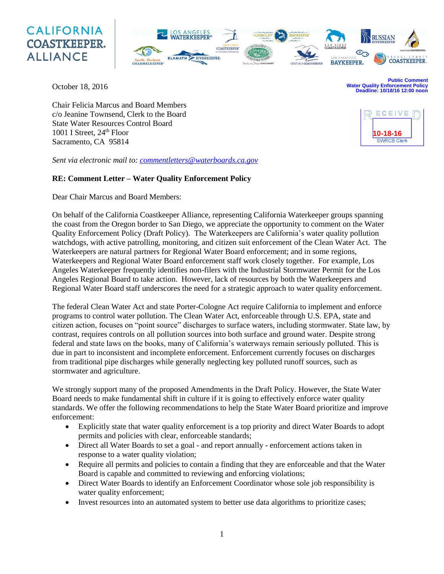# **CALIFORNIA COASTKEEPER. ALLIANCE**



October 18, 2016

**Public Comment Water Quality Enforcement Policy Deadline: 10/18/16 12:00 noon**

**10-18-16**

**SWRCB Clerk** 

ECEIVE

Chair Felicia Marcus and Board Members c/o Jeanine Townsend, Clerk to the Board State Water Resources Control Board 1001 I Street, 24<sup>th</sup> Floor Sacramento, CA 95814

*Sent via electronic mail to: [commentletters@waterboards.ca.gov](mailto:commentletters@waterboards.ca.gov)*

## **RE: Comment Letter – Water Quality Enforcement Policy**

Dear Chair Marcus and Board Members:

On behalf of the California Coastkeeper Alliance, representing California Waterkeeper groups spanning the coast from the Oregon border to San Diego, we appreciate the opportunity to comment on the Water Quality Enforcement Policy (Draft Policy). The Waterkeepers are California's water quality pollution watchdogs, with active patrolling, monitoring, and citizen suit enforcement of the Clean Water Act. The Waterkeepers are natural partners for Regional Water Board enforcement; and in some regions, Waterkeepers and Regional Water Board enforcement staff work closely together. For example, Los Angeles Waterkeeper frequently identifies non-filers with the Industrial Stormwater Permit for the Los Angeles Regional Board to take action. However, lack of resources by both the Waterkeepers and Regional Water Board staff underscores the need for a strategic approach to water quality enforcement.

The federal Clean Water Act and state Porter-Cologne Act require California to implement and enforce programs to control water pollution. The Clean Water Act, enforceable through U.S. EPA, state and citizen action, focuses on "point source" discharges to surface waters, including stormwater. State law, by contrast, requires controls on all pollution sources into both surface and ground water. Despite strong federal and state laws on the books, many of California's waterways remain seriously polluted. This is due in part to inconsistent and incomplete enforcement. Enforcement currently focuses on discharges from traditional pipe discharges while generally neglecting key polluted runoff sources, such as stormwater and agriculture.

We strongly support many of the proposed Amendments in the Draft Policy. However, the State Water Board needs to make fundamental shift in culture if it is going to effectively enforce water quality standards. We offer the following recommendations to help the State Water Board prioritize and improve enforcement:

- Explicitly state that water quality enforcement is a top priority and direct Water Boards to adopt permits and policies with clear, enforceable standards;
- Direct all Water Boards to set a goal and report annually enforcement actions taken in response to a water quality violation;
- Require all permits and policies to contain a finding that they are enforceable and that the Water Board is capable and committed to reviewing and enforcing violations;
- Direct Water Boards to identify an Enforcement Coordinator whose sole job responsibility is water quality enforcement;
- Invest resources into an automated system to better use data algorithms to prioritize cases;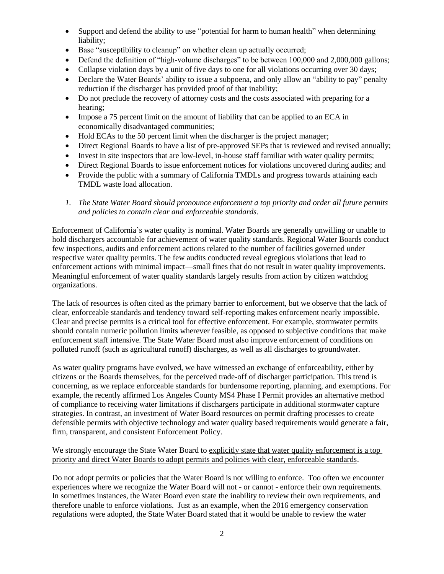- Support and defend the ability to use "potential for harm to human health" when determining liability;
- Base "susceptibility to cleanup" on whether clean up actually occurred;
- Defend the definition of "high-volume discharges" to be between 100,000 and 2,000,000 gallons;
- Collapse violation days by a unit of five days to one for all violations occurring over 30 days;
- Declare the Water Boards' ability to issue a subpoena, and only allow an "ability to pay" penalty reduction if the discharger has provided proof of that inability;
- Do not preclude the recovery of attorney costs and the costs associated with preparing for a hearing;
- $\bullet$  Impose a 75 percent limit on the amount of liability that can be applied to an ECA in economically disadvantaged communities;
- Hold ECAs to the 50 percent limit when the discharger is the project manager;
- Direct Regional Boards to have a list of pre-approved SEPs that is reviewed and revised annually;
- Invest in site inspectors that are low-level, in-house staff familiar with water quality permits;
- Direct Regional Boards to issue enforcement notices for violations uncovered during audits; and
- Provide the public with a summary of California TMDLs and progress towards attaining each TMDL waste load allocation.
- *1. The State Water Board should pronounce enforcement a top priority and order all future permits and policies to contain clear and enforceable standards.*

Enforcement of California's water quality is nominal. Water Boards are generally unwilling or unable to hold dischargers accountable for achievement of water quality standards. Regional Water Boards conduct few inspections, audits and enforcement actions related to the number of facilities governed under respective water quality permits. The few audits conducted reveal egregious violations that lead to enforcement actions with minimal impact—small fines that do not result in water quality improvements. Meaningful enforcement of water quality standards largely results from action by citizen watchdog organizations.

The lack of resources is often cited as the primary barrier to enforcement, but we observe that the lack of clear, enforceable standards and tendency toward self-reporting makes enforcement nearly impossible. Clear and precise permits is a critical tool for effective enforcement. For example, stormwater permits should contain numeric pollution limits wherever feasible, as opposed to subjective conditions that make enforcement staff intensive. The State Water Board must also improve enforcement of conditions on polluted runoff (such as agricultural runoff) discharges, as well as all discharges to groundwater.

As water quality programs have evolved, we have witnessed an exchange of enforceability, either by citizens or the Boards themselves, for the perceived trade-off of discharger participation. This trend is concerning, as we replace enforceable standards for burdensome reporting, planning, and exemptions. For example, the recently affirmed Los Angeles County MS4 Phase I Permit provides an alternative method of compliance to receiving water limitations if dischargers participate in additional stormwater capture strategies. In contrast, an investment of Water Board resources on permit drafting processes to create defensible permits with objective technology and water quality based requirements would generate a fair, firm, transparent, and consistent Enforcement Policy.

#### We strongly encourage the State Water Board to explicitly state that water quality enforcement is a top priority and direct Water Boards to adopt permits and policies with clear, enforceable standards.

Do not adopt permits or policies that the Water Board is not willing to enforce. Too often we encounter experiences where we recognize the Water Board will not - or cannot - enforce their own requirements. In sometimes instances, the Water Board even state the inability to review their own requirements, and therefore unable to enforce violations. Just as an example, when the 2016 emergency conservation regulations were adopted, the State Water Board stated that it would be unable to review the water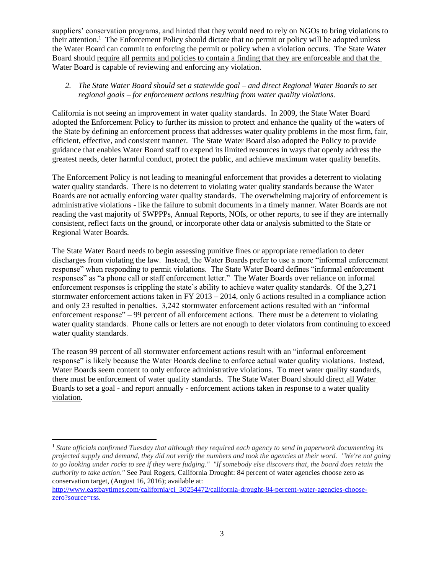suppliers' conservation programs, and hinted that they would need to rely on NGOs to bring violations to their attention.<sup>1</sup> The Enforcement Policy should dictate that no permit or policy will be adopted unless the Water Board can commit to enforcing the permit or policy when a violation occurs. The State Water Board should require all permits and policies to contain a finding that they are enforceable and that the Water Board is capable of reviewing and enforcing any violation.

## *2. The State Water Board should set a statewide goal – and direct Regional Water Boards to set regional goals – for enforcement actions resulting from water quality violations.*

California is not seeing an improvement in water quality standards. In 2009, the State Water Board adopted the Enforcement Policy to further its mission to protect and enhance the quality of the waters of the State by defining an enforcement process that addresses water quality problems in the most firm, fair, efficient, effective, and consistent manner. The State Water Board also adopted the Policy to provide guidance that enables Water Board staff to expend its limited resources in ways that openly address the greatest needs, deter harmful conduct, protect the public, and achieve maximum water quality benefits.

The Enforcement Policy is not leading to meaningful enforcement that provides a deterrent to violating water quality standards. There is no deterrent to violating water quality standards because the Water Boards are not actually enforcing water quality standards. The overwhelming majority of enforcement is administrative violations - like the failure to submit documents in a timely manner. Water Boards are not reading the vast majority of SWPPPs, Annual Reports, NOIs, or other reports, to see if they are internally consistent, reflect facts on the ground, or incorporate other data or analysis submitted to the State or Regional Water Boards.

The State Water Board needs to begin assessing punitive fines or appropriate remediation to deter discharges from violating the law. Instead, the Water Boards prefer to use a more "informal enforcement response" when responding to permit violations. The State Water Board defines "informal enforcement responses" as "a phone call or staff enforcement letter." The Water Boards over reliance on informal enforcement responses is crippling the state's ability to achieve water quality standards. Of the 3,271 stormwater enforcement actions taken in FY 2013 – 2014, only 6 actions resulted in a compliance action and only 23 resulted in penalties. 3,242 stormwater enforcement actions resulted with an "informal enforcement response" – 99 percent of all enforcement actions. There must be a deterrent to violating water quality standards. Phone calls or letters are not enough to deter violators from continuing to exceed water quality standards.

The reason 99 percent of all stormwater enforcement actions result with an "informal enforcement response" is likely because the Water Boards decline to enforce actual water quality violations. Instead, Water Boards seem content to only enforce administrative violations. To meet water quality standards, there must be enforcement of water quality standards. The State Water Board should direct all Water Boards to set a goal - and report annually - enforcement actions taken in response to a water quality violation.

l

<sup>1</sup> *State officials confirmed Tuesday that although they required each agency to send in paperwork documenting its projected supply and demand, they did not verify the numbers and took the agencies at their word. "We're not going to go looking under rocks to see if they were fudging." "If somebody else discovers that, the board does retain the authority to take action."* See Paul Rogers, California Drought: 84 percent of water agencies choose zero as conservation target, (August 16, 2016); available at:

[http://www.eastbaytimes.com/california/ci\\_30254472/california-drought-84-percent-water-agencies-choose](http://www.eastbaytimes.com/california/ci_30254472/california-drought-84-percent-water-agencies-choose-zero?source=rss)[zero?source=rss.](http://www.eastbaytimes.com/california/ci_30254472/california-drought-84-percent-water-agencies-choose-zero?source=rss)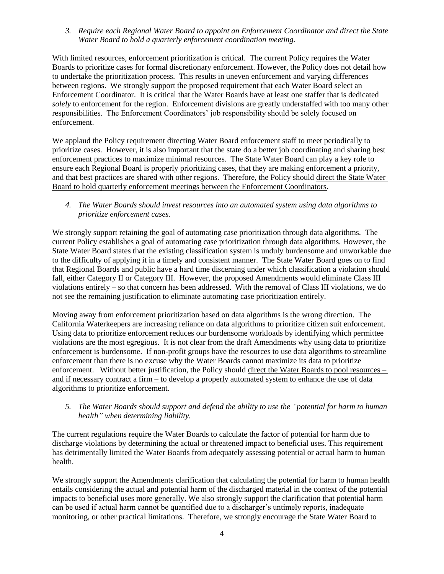*3. Require each Regional Water Board to appoint an Enforcement Coordinator and direct the State Water Board to hold a quarterly enforcement coordination meeting.* 

With limited resources, enforcement prioritization is critical. The current Policy requires the Water Boards to prioritize cases for formal discretionary enforcement. However, the Policy does not detail how to undertake the prioritization process. This results in uneven enforcement and varying differences between regions. We strongly support the proposed requirement that each Water Board select an Enforcement Coordinator. It is critical that the Water Boards have at least one staffer that is dedicated *solely* to enforcement for the region. Enforcement divisions are greatly understaffed with too many other responsibilities. The Enforcement Coordinators' job responsibility should be solely focused on enforcement.

We applaud the Policy requirement directing Water Board enforcement staff to meet periodically to prioritize cases. However, it is also important that the state do a better job coordinating and sharing best enforcement practices to maximize minimal resources. The State Water Board can play a key role to ensure each Regional Board is properly prioritizing cases, that they are making enforcement a priority, and that best practices are shared with other regions. Therefore, the Policy should direct the State Water Board to hold quarterly enforcement meetings between the Enforcement Coordinators.

*4. The Water Boards should invest resources into an automated system using data algorithms to prioritize enforcement cases.* 

We strongly support retaining the goal of automating case prioritization through data algorithms. The current Policy establishes a goal of automating case prioritization through data algorithms. However, the State Water Board states that the existing classification system is unduly burdensome and unworkable due to the difficulty of applying it in a timely and consistent manner. The State Water Board goes on to find that Regional Boards and public have a hard time discerning under which classification a violation should fall, either Category II or Category III. However, the proposed Amendments would eliminate Class III violations entirely – so that concern has been addressed. With the removal of Class III violations, we do not see the remaining justification to eliminate automating case prioritization entirely.

Moving away from enforcement prioritization based on data algorithms is the wrong direction. The California Waterkeepers are increasing reliance on data algorithms to prioritize citizen suit enforcement. Using data to prioritize enforcement reduces our burdensome workloads by identifying which permittee violations are the most egregious. It is not clear from the draft Amendments why using data to prioritize enforcement is burdensome. If non-profit groups have the resources to use data algorithms to streamline enforcement than there is no excuse why the Water Boards cannot maximize its data to prioritize enforcement. Without better justification, the Policy should direct the Water Boards to pool resources – and if necessary contract a firm – to develop a properly automated system to enhance the use of data algorithms to prioritize enforcement.

*5. The Water Boards should support and defend the ability to use the "potential for harm to human health" when determining liability.* 

The current regulations require the Water Boards to calculate the factor of potential for harm due to discharge violations by determining the actual or threatened impact to beneficial uses. This requirement has detrimentally limited the Water Boards from adequately assessing potential or actual harm to human health.

We strongly support the Amendments clarification that calculating the potential for harm to human health entails considering the actual and potential harm of the discharged material in the context of the potential impacts to beneficial uses more generally. We also strongly support the clarification that potential harm can be used if actual harm cannot be quantified due to a discharger's untimely reports, inadequate monitoring, or other practical limitations. Therefore, we strongly encourage the State Water Board to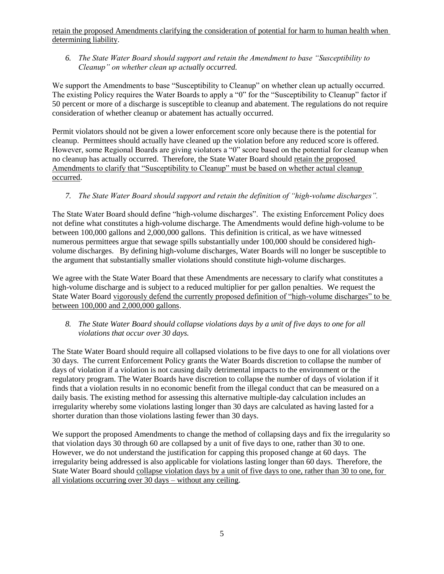retain the proposed Amendments clarifying the consideration of potential for harm to human health when determining liability.

*6. The State Water Board should support and retain the Amendment to base "Susceptibility to Cleanup" on whether clean up actually occurred.* 

We support the Amendments to base "Susceptibility to Cleanup" on whether clean up actually occurred. The existing Policy requires the Water Boards to apply a "0" for the "Susceptibility to Cleanup" factor if 50 percent or more of a discharge is susceptible to cleanup and abatement. The regulations do not require consideration of whether cleanup or abatement has actually occurred.

Permit violators should not be given a lower enforcement score only because there is the potential for cleanup. Permittees should actually have cleaned up the violation before any reduced score is offered. However, some Regional Boards are giving violators a "0" score based on the potential for cleanup when no cleanup has actually occurred. Therefore, the State Water Board should retain the proposed Amendments to clarify that "Susceptibility to Cleanup" must be based on whether actual cleanup occurred.

## *7. The State Water Board should support and retain the definition of "high-volume discharges".*

The State Water Board should define "high-volume discharges". The existing Enforcement Policy does not define what constitutes a high-volume discharge. The Amendments would define high-volume to be between 100,000 gallons and 2,000,000 gallons. This definition is critical, as we have witnessed numerous permittees argue that sewage spills substantially under 100,000 should be considered highvolume discharges. By defining high-volume discharges, Water Boards will no longer be susceptible to the argument that substantially smaller violations should constitute high-volume discharges.

We agree with the State Water Board that these Amendments are necessary to clarify what constitutes a high-volume discharge and is subject to a reduced multiplier for per gallon penalties. We request the State Water Board vigorously defend the currently proposed definition of "high-volume discharges" to be between 100,000 and 2,000,000 gallons.

## *8. The State Water Board should collapse violations days by a unit of five days to one for all violations that occur over 30 days.*

The State Water Board should require all collapsed violations to be five days to one for all violations over 30 days. The current Enforcement Policy grants the Water Boards discretion to collapse the number of days of violation if a violation is not causing daily detrimental impacts to the environment or the regulatory program. The Water Boards have discretion to collapse the number of days of violation if it finds that a violation results in no economic benefit from the illegal conduct that can be measured on a daily basis. The existing method for assessing this alternative multiple-day calculation includes an irregularity whereby some violations lasting longer than 30 days are calculated as having lasted for a shorter duration than those violations lasting fewer than 30 days.

We support the proposed Amendments to change the method of collapsing days and fix the irregularity so that violation days 30 through 60 are collapsed by a unit of five days to one, rather than 30 to one. However, we do not understand the justification for capping this proposed change at 60 days. The irregularity being addressed is also applicable for violations lasting longer than 60 days. Therefore, the State Water Board should collapse violation days by a unit of five days to one, rather than 30 to one, for all violations occurring over 30 days – without any ceiling.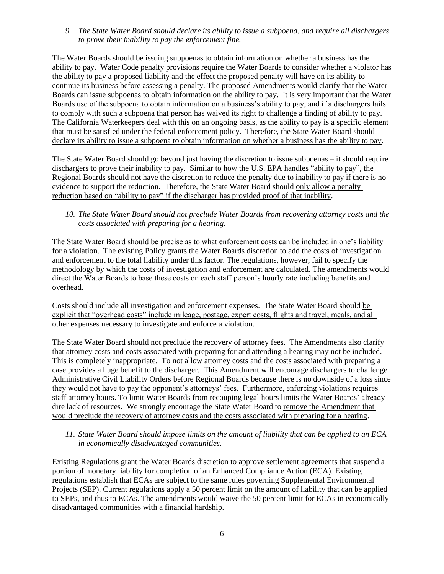*9. The State Water Board should declare its ability to issue a subpoena, and require all dischargers to prove their inability to pay the enforcement fine.* 

The Water Boards should be issuing subpoenas to obtain information on whether a business has the ability to pay. Water Code penalty provisions require the Water Boards to consider whether a violator has the ability to pay a proposed liability and the effect the proposed penalty will have on its ability to continue its business before assessing a penalty. The proposed Amendments would clarify that the Water Boards can issue subpoenas to obtain information on the ability to pay. It is very important that the Water Boards use of the subpoena to obtain information on a business's ability to pay, and if a dischargers fails to comply with such a subpoena that person has waived its right to challenge a finding of ability to pay. The California Waterkeepers deal with this on an ongoing basis, as the ability to pay is a specific element that must be satisfied under the federal enforcement policy. Therefore, the State Water Board should declare its ability to issue a subpoena to obtain information on whether a business has the ability to pay.

The State Water Board should go beyond just having the discretion to issue subpoenas – it should require dischargers to prove their inability to pay. Similar to how the U.S. EPA handles "ability to pay", the Regional Boards should not have the discretion to reduce the penalty due to inability to pay if there is no evidence to support the reduction. Therefore, the State Water Board should only allow a penalty reduction based on "ability to pay" if the discharger has provided proof of that inability.

*10. The State Water Board should not preclude Water Boards from recovering attorney costs and the costs associated with preparing for a hearing.* 

The State Water Board should be precise as to what enforcement costs can be included in one's liability for a violation. The existing Policy grants the Water Boards discretion to add the costs of investigation and enforcement to the total liability under this factor. The regulations, however, fail to specify the methodology by which the costs of investigation and enforcement are calculated. The amendments would direct the Water Boards to base these costs on each staff person's hourly rate including benefits and overhead.

Costs should include all investigation and enforcement expenses. The State Water Board should be explicit that "overhead costs" include mileage, postage, expert costs, flights and travel, meals, and all other expenses necessary to investigate and enforce a violation.

The State Water Board should not preclude the recovery of attorney fees. The Amendments also clarify that attorney costs and costs associated with preparing for and attending a hearing may not be included. This is completely inappropriate. To not allow attorney costs and the costs associated with preparing a case provides a huge benefit to the discharger. This Amendment will encourage dischargers to challenge Administrative Civil Liability Orders before Regional Boards because there is no downside of a loss since they would not have to pay the opponent's attorneys' fees. Furthermore, enforcing violations requires staff attorney hours. To limit Water Boards from recouping legal hours limits the Water Boards' already dire lack of resources. We strongly encourage the State Water Board to remove the Amendment that would preclude the recovery of attorney costs and the costs associated with preparing for a hearing.

#### *11. State Water Board should impose limits on the amount of liability that can be applied to an ECA in economically disadvantaged communities.*

Existing Regulations grant the Water Boards discretion to approve settlement agreements that suspend a portion of monetary liability for completion of an Enhanced Compliance Action (ECA). Existing regulations establish that ECAs are subject to the same rules governing Supplemental Environmental Projects (SEP). Current regulations apply a 50 percent limit on the amount of liability that can be applied to SEPs, and thus to ECAs. The amendments would waive the 50 percent limit for ECAs in economically disadvantaged communities with a financial hardship.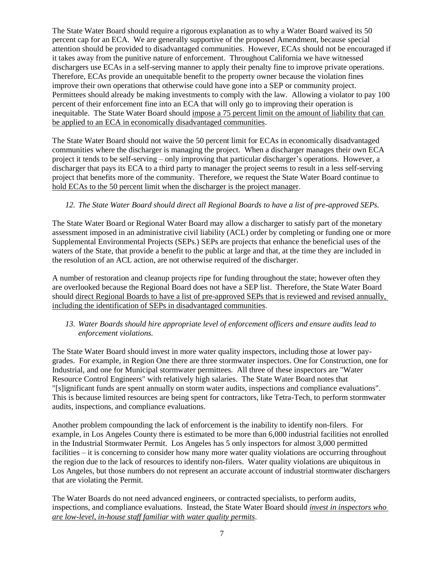The State Water Board should require a rigorous explanation as to why a Water Board waived its 50 percent cap for an ECA. We are generally supportive of the proposed Amendment, because special attention should be provided to disadvantaged communities. However, ECAs should not be encouraged if it takes away from the punitive nature of enforcement. Throughout California we have witnessed dischargers use ECAs in a self-serving manner to apply their penalty fine to improve private operations. Therefore, ECAs provide an unequitable benefit to the property owner because the violation fines improve their own operations that otherwise could have gone into a SEP or community project. Permittees should already be making investments to comply with the law. Allowing a violator to pay 100 percent of their enforcement fine into an ECA that will only go to improving their operation is inequitable. The State Water Board should impose a 75 percent limit on the amount of liability that can be applied to an ECA in economically disadvantaged communities.

The State Water Board should not waive the 50 percent limit for ECAs in economically disadvantaged communities where the discharger is managing the project. When a discharger manages their own ECA project it tends to be self-serving – only improving that particular discharger's operations. However, a discharger that pays its ECA to a third party to manager the project seems to result in a less self-serving project that benefits more of the community. Therefore, we request the State Water Board continue to hold ECAs to the 50 percent limit when the discharger is the project manager.

## *12. The State Water Board should direct all Regional Boards to have a list of pre-approved SEPs.*

The State Water Board or Regional Water Board may allow a discharger to satisfy part of the monetary assessment imposed in an administrative civil liability (ACL) order by completing or funding one or more Supplemental Environmental Projects (SEPs.) SEPs are projects that enhance the beneficial uses of the waters of the State, that provide a benefit to the public at large and that, at the time they are included in the resolution of an ACL action, are not otherwise required of the discharger.

A number of restoration and cleanup projects ripe for funding throughout the state; however often they are overlooked because the Regional Board does not have a SEP list. Therefore, the State Water Board should direct Regional Boards to have a list of pre-approved SEPs that is reviewed and revised annually, including the identification of SEPs in disadvantaged communities.

## *13. Water Boards should hire appropriate level of enforcement officers and ensure audits lead to enforcement violations.*

The State Water Board should invest in more water quality inspectors, including those at lower paygrades. For example, in Region One there are three stormwater inspectors. One for Construction, one for Industrial, and one for Municipal stormwater permittees. All three of these inspectors are "Water Resource Control Engineers" with relatively high salaries. The State Water Board notes that "[s]ignificant funds are spent annually on storm water audits, inspections and compliance evaluations". This is because limited resources are being spent for contractors, like Tetra-Tech, to perform stormwater audits, inspections, and compliance evaluations.

Another problem compounding the lack of enforcement is the inability to identify non-filers. For example, in Los Angeles County there is estimated to be more than 6,000 industrial facilities not enrolled in the Industrial Stormwater Permit. Los Angeles has 5 only inspectors for almost 3,000 permitted facilities – it is concerning to consider how many more water quality violations are occurring throughout the region due to the lack of resources to identify non-filers. Water quality violations are ubiquitous in Los Angeles, but those numbers do not represent an accurate account of industrial stormwater dischargers that are violating the Permit.

The Water Boards do not need advanced engineers, or contracted specialists, to perform audits, inspections, and compliance evaluations. Instead, the State Water Board should *invest in inspectors who are low-level, in-house staff familiar with water quality permits*.